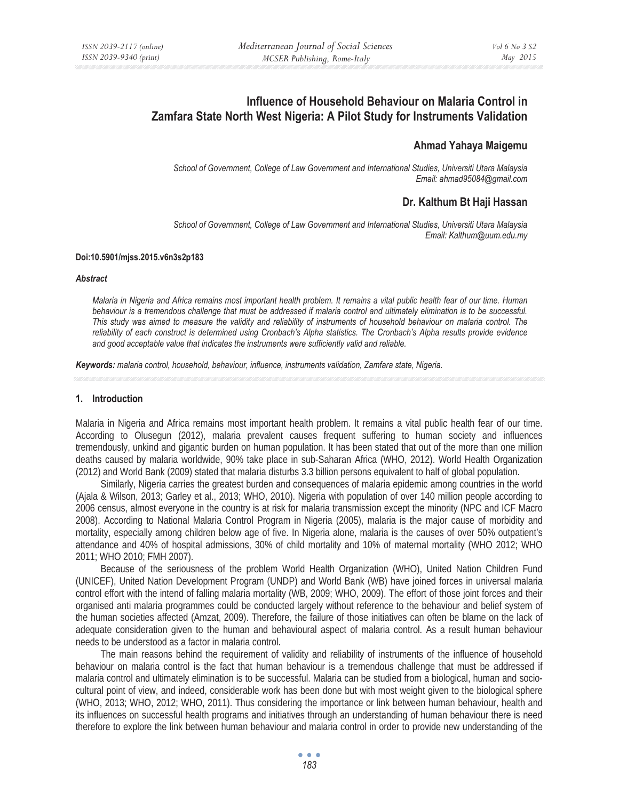# **Influence of Household Behaviour on Malaria Control in Zamfara State North West Nigeria: A Pilot Study for Instruments Validation**

# **Ahmad Yahaya Maigemu**

*School of Government, College of Law Government and International Studies, Universiti Utara Malaysia Email: ahmad95084@gmail.com* 

# **Dr. Kalthum Bt Haji Hassan**

*School of Government, College of Law Government and International Studies, Universiti Utara Malaysia Email: Kalthum@uum.edu.my* 

#### **Doi:10.5901/mjss.2015.v6n3s2p183**

#### *Abstract*

*Malaria in Nigeria and Africa remains most important health problem. It remains a vital public health fear of our time. Human behaviour is a tremendous challenge that must be addressed if malaria control and ultimately elimination is to be successful. This study was aimed to measure the validity and reliability of instruments of household behaviour on malaria control. The reliability of each construct is determined using Cronbach's Alpha statistics. The Cronbach's Alpha results provide evidence and good acceptable value that indicates the instruments were sufficiently valid and reliable.* 

*Keywords: malaria control, household, behaviour, influence, instruments validation, Zamfara state, Nigeria.*

#### **1. Introduction**

Malaria in Nigeria and Africa remains most important health problem. It remains a vital public health fear of our time. According to Olusegun (2012), malaria prevalent causes frequent suffering to human society and influences tremendously, unkind and gigantic burden on human population. It has been stated that out of the more than one million deaths caused by malaria worldwide, 90% take place in sub-Saharan Africa (WHO, 2012). World Health Organization (2012) and World Bank (2009) stated that malaria disturbs 3.3 billion persons equivalent to half of global population.

Similarly, Nigeria carries the greatest burden and consequences of malaria epidemic among countries in the world (Ajala & Wilson, 2013; Garley et al., 2013; WHO, 2010). Nigeria with population of over 140 million people according to 2006 census, almost everyone in the country is at risk for malaria transmission except the minority (NPC and ICF Macro 2008). According to National Malaria Control Program in Nigeria (2005), malaria is the major cause of morbidity and mortality, especially among children below age of five. In Nigeria alone, malaria is the causes of over 50% outpatient's attendance and 40% of hospital admissions, 30% of child mortality and 10% of maternal mortality (WHO 2012; WHO 2011; WHO 2010; FMH 2007).

Because of the seriousness of the problem World Health Organization (WHO), United Nation Children Fund (UNICEF), United Nation Development Program (UNDP) and World Bank (WB) have joined forces in universal malaria control effort with the intend of falling malaria mortality (WB, 2009; WHO, 2009). The effort of those joint forces and their organised anti malaria programmes could be conducted largely without reference to the behaviour and belief system of the human societies affected (Amzat, 2009). Therefore, the failure of those initiatives can often be blame on the lack of adequate consideration given to the human and behavioural aspect of malaria control. As a result human behaviour needs to be understood as a factor in malaria control.

The main reasons behind the requirement of validity and reliability of instruments of the influence of household behaviour on malaria control is the fact that human behaviour is a tremendous challenge that must be addressed if malaria control and ultimately elimination is to be successful. Malaria can be studied from a biological, human and sociocultural point of view, and indeed, considerable work has been done but with most weight given to the biological sphere (WHO, 2013; WHO, 2012; WHO, 2011). Thus considering the importance or link between human behaviour, health and its influences on successful health programs and initiatives through an understanding of human behaviour there is need therefore to explore the link between human behaviour and malaria control in order to provide new understanding of the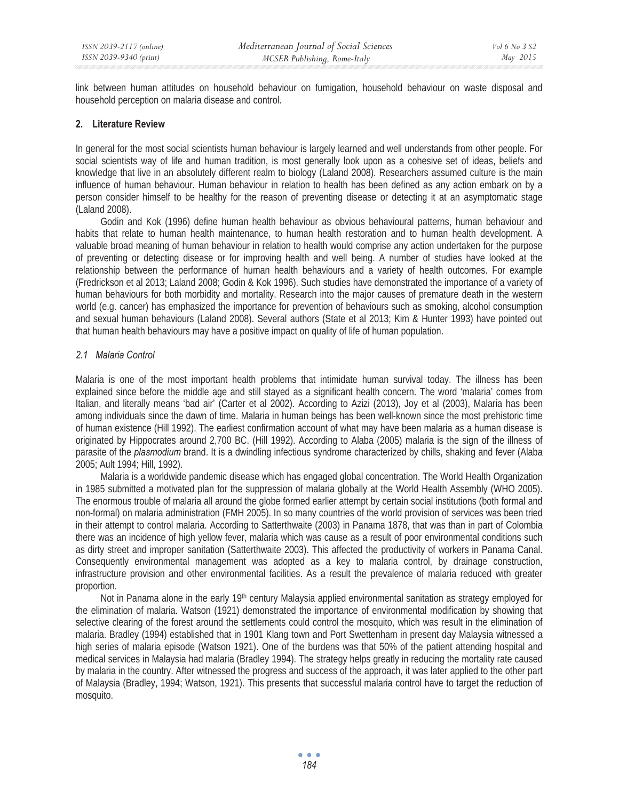link between human attitudes on household behaviour on fumigation, household behaviour on waste disposal and household perception on malaria disease and control.

# **2. Literature Review**

In general for the most social scientists human behaviour is largely learned and well understands from other people. For social scientists way of life and human tradition, is most generally look upon as a cohesive set of ideas, beliefs and knowledge that live in an absolutely different realm to biology (Laland 2008). Researchers assumed culture is the main influence of human behaviour. Human behaviour in relation to health has been defined as any action embark on by a person consider himself to be healthy for the reason of preventing disease or detecting it at an asymptomatic stage (Laland 2008).

Godin and Kok (1996) define human health behaviour as obvious behavioural patterns, human behaviour and habits that relate to human health maintenance, to human health restoration and to human health development. A valuable broad meaning of human behaviour in relation to health would comprise any action undertaken for the purpose of preventing or detecting disease or for improving health and well being. A number of studies have looked at the relationship between the performance of human health behaviours and a variety of health outcomes. For example (Fredrickson et al 2013; Laland 2008; Godin & Kok 1996). Such studies have demonstrated the importance of a variety of human behaviours for both morbidity and mortality. Research into the major causes of premature death in the western world (e.g. cancer) has emphasized the importance for prevention of behaviours such as smoking, alcohol consumption and sexual human behaviours (Laland 2008). Several authors (State et al 2013; Kim & Hunter 1993) have pointed out that human health behaviours may have a positive impact on quality of life of human population.

# *2.1 Malaria Control*

Malaria is one of the most important health problems that intimidate human survival today. The illness has been explained since before the middle age and still stayed as a significant health concern. The word 'malaria' comes from Italian, and literally means 'bad air' (Carter et al 2002). According to Azizi (2013), Joy et al (2003), Malaria has been among individuals since the dawn of time. Malaria in human beings has been well-known since the most prehistoric time of human existence (Hill 1992). The earliest confirmation account of what may have been malaria as a human disease is originated by Hippocrates around 2,700 BC. (Hill 1992). According to Alaba (2005) malaria is the sign of the illness of parasite of the *plasmodium* brand. It is a dwindling infectious syndrome characterized by chills, shaking and fever (Alaba 2005; Ault 1994; Hill, 1992).

Malaria is a worldwide pandemic disease which has engaged global concentration. The World Health Organization in 1985 submitted a motivated plan for the suppression of malaria globally at the World Health Assembly (WHO 2005). The enormous trouble of malaria all around the globe formed earlier attempt by certain social institutions (both formal and non-formal) on malaria administration (FMH 2005). In so many countries of the world provision of services was been tried in their attempt to control malaria. According to Satterthwaite (2003) in Panama 1878, that was than in part of Colombia there was an incidence of high yellow fever, malaria which was cause as a result of poor environmental conditions such as dirty street and improper sanitation (Satterthwaite 2003). This affected the productivity of workers in Panama Canal. Consequently environmental management was adopted as a key to malaria control, by drainage construction, infrastructure provision and other environmental facilities. As a result the prevalence of malaria reduced with greater proportion.

Not in Panama alone in the early 19<sup>th</sup> century Malaysia applied environmental sanitation as strategy employed for the elimination of malaria. Watson (1921) demonstrated the importance of environmental modification by showing that selective clearing of the forest around the settlements could control the mosquito, which was result in the elimination of malaria. Bradley (1994) established that in 1901 Klang town and Port Swettenham in present day Malaysia witnessed a high series of malaria episode (Watson 1921). One of the burdens was that 50% of the patient attending hospital and medical services in Malaysia had malaria (Bradley 1994). The strategy helps greatly in reducing the mortality rate caused by malaria in the country. After witnessed the progress and success of the approach, it was later applied to the other part of Malaysia (Bradley, 1994; Watson, 1921). This presents that successful malaria control have to target the reduction of mosquito.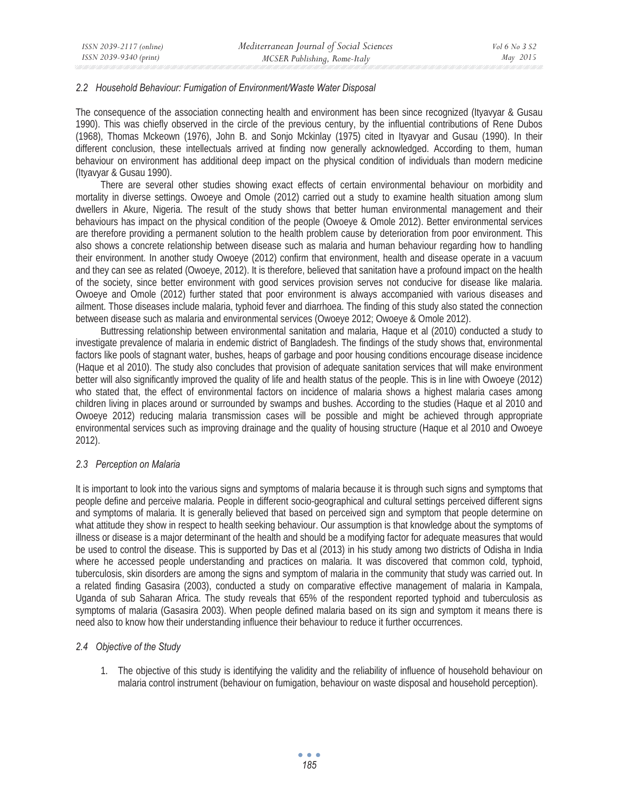#### *2.2 Household Behaviour: Fumigation of Environment/Waste Water Disposal*

The consequence of the association connecting health and environment has been since recognized (Ityavyar & Gusau 1990). This was chiefly observed in the circle of the previous century, by the influential contributions of Rene Dubos (1968), Thomas Mckeown (1976), John B. and Sonjo Mckinlay (1975) cited in Ityavyar and Gusau (1990). In their different conclusion, these intellectuals arrived at finding now generally acknowledged. According to them, human behaviour on environment has additional deep impact on the physical condition of individuals than modern medicine (Ityavyar & Gusau 1990).

There are several other studies showing exact effects of certain environmental behaviour on morbidity and mortality in diverse settings. Owoeye and Omole (2012) carried out a study to examine health situation among slum dwellers in Akure, Nigeria. The result of the study shows that better human environmental management and their behaviours has impact on the physical condition of the people (Owoeye & Omole 2012). Better environmental services are therefore providing a permanent solution to the health problem cause by deterioration from poor environment. This also shows a concrete relationship between disease such as malaria and human behaviour regarding how to handling their environment. In another study Owoeye (2012) confirm that environment, health and disease operate in a vacuum and they can see as related (Owoeye, 2012). It is therefore, believed that sanitation have a profound impact on the health of the society, since better environment with good services provision serves not conducive for disease like malaria. Owoeye and Omole (2012) further stated that poor environment is always accompanied with various diseases and ailment. Those diseases include malaria, typhoid fever and diarrhoea. The finding of this study also stated the connection between disease such as malaria and environmental services (Owoeye 2012; Owoeye & Omole 2012).

Buttressing relationship between environmental sanitation and malaria, Haque et al (2010) conducted a study to investigate prevalence of malaria in endemic district of Bangladesh. The findings of the study shows that, environmental factors like pools of stagnant water, bushes, heaps of garbage and poor housing conditions encourage disease incidence (Haque et al 2010). The study also concludes that provision of adequate sanitation services that will make environment better will also significantly improved the quality of life and health status of the people. This is in line with Owoeye (2012) who stated that, the effect of environmental factors on incidence of malaria shows a highest malaria cases among children living in places around or surrounded by swamps and bushes. According to the studies (Haque et al 2010 and Owoeye 2012) reducing malaria transmission cases will be possible and might be achieved through appropriate environmental services such as improving drainage and the quality of housing structure (Haque et al 2010 and Owoeye 2012).

# *2.3 Perception on Malaria*

It is important to look into the various signs and symptoms of malaria because it is through such signs and symptoms that people define and perceive malaria. People in different socio-geographical and cultural settings perceived different signs and symptoms of malaria. It is generally believed that based on perceived sign and symptom that people determine on what attitude they show in respect to health seeking behaviour. Our assumption is that knowledge about the symptoms of illness or disease is a major determinant of the health and should be a modifying factor for adequate measures that would be used to control the disease. This is supported by Das et al (2013) in his study among two districts of Odisha in India where he accessed people understanding and practices on malaria. It was discovered that common cold, typhoid, tuberculosis, skin disorders are among the signs and symptom of malaria in the community that study was carried out. In a related finding Gasasira (2003), conducted a study on comparative effective management of malaria in Kampala, Uganda of sub Saharan Africa. The study reveals that 65% of the respondent reported typhoid and tuberculosis as symptoms of malaria (Gasasira 2003). When people defined malaria based on its sign and symptom it means there is need also to know how their understanding influence their behaviour to reduce it further occurrences.

# *2.4 Objective of the Study*

1. The objective of this study is identifying the validity and the reliability of influence of household behaviour on malaria control instrument (behaviour on fumigation, behaviour on waste disposal and household perception).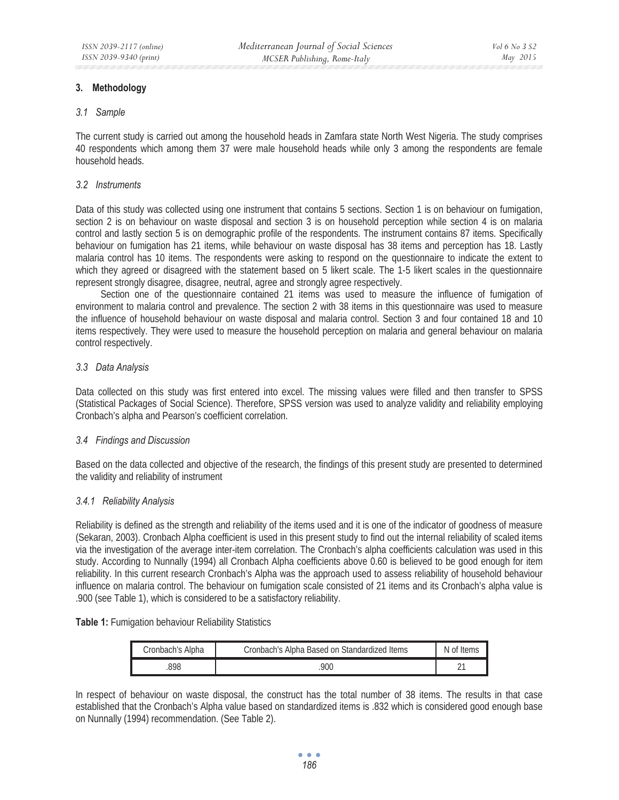# **3. Methodology**

#### *3.1 Sample*

The current study is carried out among the household heads in Zamfara state North West Nigeria. The study comprises 40 respondents which among them 37 were male household heads while only 3 among the respondents are female household heads.

# *3.2 Instruments*

Data of this study was collected using one instrument that contains 5 sections. Section 1 is on behaviour on fumigation, section 2 is on behaviour on waste disposal and section 3 is on household perception while section 4 is on malaria control and lastly section 5 is on demographic profile of the respondents. The instrument contains 87 items. Specifically behaviour on fumigation has 21 items, while behaviour on waste disposal has 38 items and perception has 18. Lastly malaria control has 10 items. The respondents were asking to respond on the questionnaire to indicate the extent to which they agreed or disagreed with the statement based on 5 likert scale. The 1-5 likert scales in the questionnaire represent strongly disagree, disagree, neutral, agree and strongly agree respectively.

Section one of the questionnaire contained 21 items was used to measure the influence of fumigation of environment to malaria control and prevalence. The section 2 with 38 items in this questionnaire was used to measure the influence of household behaviour on waste disposal and malaria control. Section 3 and four contained 18 and 10 items respectively. They were used to measure the household perception on malaria and general behaviour on malaria control respectively.

# *3.3 Data Analysis*

Data collected on this study was first entered into excel. The missing values were filled and then transfer to SPSS (Statistical Packages of Social Science). Therefore, SPSS version was used to analyze validity and reliability employing Cronbach's alpha and Pearson's coefficient correlation.

# *3.4 Findings and Discussion*

Based on the data collected and objective of the research, the findings of this present study are presented to determined the validity and reliability of instrument

# *3.4.1 Reliability Analysis*

Reliability is defined as the strength and reliability of the items used and it is one of the indicator of goodness of measure (Sekaran, 2003). Cronbach Alpha coefficient is used in this present study to find out the internal reliability of scaled items via the investigation of the average inter-item correlation. The Cronbach's alpha coefficients calculation was used in this study. According to Nunnally (1994) all Cronbach Alpha coefficients above 0.60 is believed to be good enough for item reliability. In this current research Cronbach's Alpha was the approach used to assess reliability of household behaviour influence on malaria control. The behaviour on fumigation scale consisted of 21 items and its Cronbach's alpha value is .900 (see Table 1), which is considered to be a satisfactory reliability.

# **Table 1:** Fumigation behaviour Reliability Statistics

| Cronbach's Alpha | Cronbach's Alpha Based on Standardized Items | N of Items |
|------------------|----------------------------------------------|------------|
| 998              | 900                                          |            |

In respect of behaviour on waste disposal, the construct has the total number of 38 items. The results in that case established that the Cronbach's Alpha value based on standardized items is .832 which is considered good enough base on Nunnally (1994) recommendation. (See Table 2).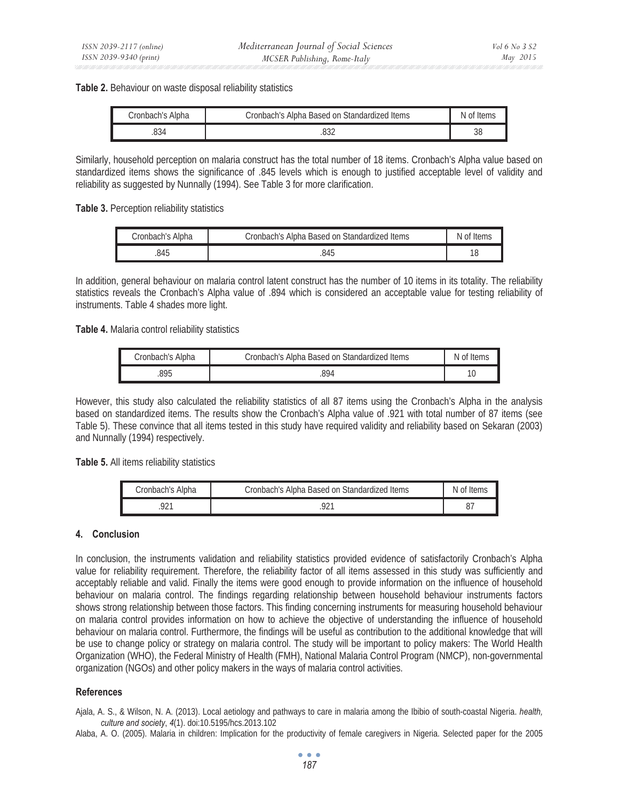#### **Table 2.** Behaviour on waste disposal reliability statistics

| Cronbach's Alpha | Cronbach's Alpha Based on Standardized Items | N of Items |
|------------------|----------------------------------------------|------------|
| 834              |                                              | კშ         |

Similarly, household perception on malaria construct has the total number of 18 items. Cronbach's Alpha value based on standardized items shows the significance of .845 levels which is enough to justified acceptable level of validity and reliability as suggested by Nunnally (1994). See Table 3 for more clarification.

Table 3. Perception reliability statistics

| Cronbach's Alpha | Cronbach's Alpha Based on Standardized Items | N of Items |
|------------------|----------------------------------------------|------------|
| 845              | 845                                          |            |

In addition, general behaviour on malaria control latent construct has the number of 10 items in its totality. The reliability statistics reveals the Cronbach's Alpha value of .894 which is considered an acceptable value for testing reliability of instruments. Table 4 shades more light.

**Table 4.** Malaria control reliability statistics

| Cronbach's Alpha | Cronbach's Alpha Based on Standardized Items | N of Items |
|------------------|----------------------------------------------|------------|
| 895              | 894                                          |            |

However, this study also calculated the reliability statistics of all 87 items using the Cronbach's Alpha in the analysis based on standardized items. The results show the Cronbach's Alpha value of .921 with total number of 87 items (see Table 5). These convince that all items tested in this study have required validity and reliability based on Sekaran (2003) and Nunnally (1994) respectively.

Table 5. All items reliability statistics

| Cronbach's Alpha | Cronbach's Alpha Based on Standardized Items | N of Items |
|------------------|----------------------------------------------|------------|
|                  |                                              |            |

# **4. Conclusion**

In conclusion, the instruments validation and reliability statistics provided evidence of satisfactorily Cronbach's Alpha value for reliability requirement. Therefore, the reliability factor of all items assessed in this study was sufficiently and acceptably reliable and valid. Finally the items were good enough to provide information on the influence of household behaviour on malaria control. The findings regarding relationship between household behaviour instruments factors shows strong relationship between those factors. This finding concerning instruments for measuring household behaviour on malaria control provides information on how to achieve the objective of understanding the influence of household behaviour on malaria control. Furthermore, the findings will be useful as contribution to the additional knowledge that will be use to change policy or strategy on malaria control. The study will be important to policy makers: The World Health Organization (WHO), the Federal Ministry of Health (FMH), National Malaria Control Program (NMCP), non-governmental organization (NGOs) and other policy makers in the ways of malaria control activities.

# **References**

Ajala, A. S., & Wilson, N. A. (2013). Local aetiology and pathways to care in malaria among the Ibibio of south-coastal Nigeria. *health, culture and society*, *4*(1). doi:10.5195/hcs.2013.102

Alaba, A. O. (2005). Malaria in children: Implication for the productivity of female caregivers in Nigeria. Selected paper for the 2005